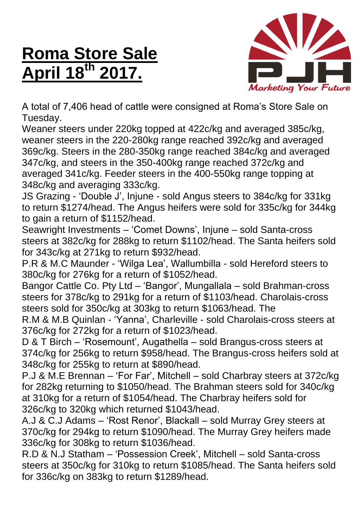## **Roma Store Sale April 18 th 2017.**



A total of 7,406 head of cattle were consigned at Roma's Store Sale on Tuesday.

Weaner steers under 220kg topped at 422c/kg and averaged 385c/kg, weaner steers in the 220-280kg range reached 392c/kg and averaged 369c/kg. Steers in the 280-350kg range reached 384c/kg and averaged 347c/kg, and steers in the 350-400kg range reached 372c/kg and averaged 341c/kg. Feeder steers in the 400-550kg range topping at 348c/kg and averaging 333c/kg.

JS Grazing - 'Double J', Injune - sold Angus steers to 384c/kg for 331kg to return \$1274/head. The Angus heifers were sold for 335c/kg for 344kg to gain a return of \$1152/head.

Seawright Investments – 'Comet Downs', Injune – sold Santa-cross steers at 382c/kg for 288kg to return \$1102/head. The Santa heifers sold for 343c/kg at 271kg to return \$932/head.

P.R & M.C Maunder - 'Wilga Lea', Wallumbilla - sold Hereford steers to 380c/kg for 276kg for a return of \$1052/head.

Bangor Cattle Co. Pty Ltd – 'Bangor', Mungallala – sold Brahman-cross steers for 378c/kg to 291kg for a return of \$1103/head. Charolais-cross steers sold for 350c/kg at 303kg to return \$1063/head. The

R.M & M.B Quinlan - 'Yanna', Charleville - sold Charolais-cross steers at 376c/kg for 272kg for a return of \$1023/head.

D & T Birch – 'Rosemount', Augathella – sold Brangus-cross steers at 374c/kg for 256kg to return \$958/head. The Brangus-cross heifers sold at 348c/kg for 255kg to return at \$890/head.

P.J & M.E Brennan – 'For Far', Mitchell – sold Charbray steers at 372c/kg for 282kg returning to \$1050/head. The Brahman steers sold for 340c/kg at 310kg for a return of \$1054/head. The Charbray heifers sold for 326c/kg to 320kg which returned \$1043/head.

A.J & C.J Adams – 'Rost Renor', Blackall – sold Murray Grey steers at 370c/kg for 294kg to return \$1090/head. The Murray Grey heifers made 336c/kg for 308kg to return \$1036/head.

R.D & N.J Statham – 'Possession Creek', Mitchell – sold Santa-cross steers at 350c/kg for 310kg to return \$1085/head. The Santa heifers sold for 336c/kg on 383kg to return \$1289/head.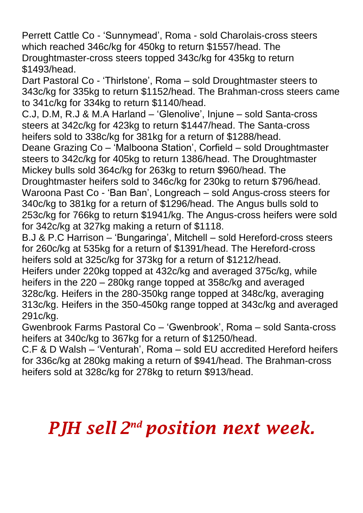Perrett Cattle Co - 'Sunnymead', Roma - sold Charolais-cross steers which reached 346c/kg for 450kg to return \$1557/head. The Droughtmaster-cross steers topped 343c/kg for 435kg to return \$1493/head.

Dart Pastoral Co - 'Thirlstone', Roma – sold Droughtmaster steers to 343c/kg for 335kg to return \$1152/head. The Brahman-cross steers came to 341c/kg for 334kg to return \$1140/head.

C.J, D.M, R.J & M.A Harland – 'Glenolive', Injune – sold Santa-cross steers at 342c/kg for 423kg to return \$1447/head. The Santa-cross heifers sold to 338c/kg for 381kg for a return of \$1288/head.

Deane Grazing Co – 'Malboona Station', Corfield – sold Droughtmaster steers to 342c/kg for 405kg to return 1386/head. The Droughtmaster Mickey bulls sold 364c/kg for 263kg to return \$960/head. The

Droughtmaster heifers sold to 346c/kg for 230kg to return \$796/head. Waroona Past Co - 'Ban Ban', Longreach – sold Angus-cross steers for 340c/kg to 381kg for a return of \$1296/head. The Angus bulls sold to 253c/kg for 766kg to return \$1941/kg. The Angus-cross heifers were sold for 342c/kg at 327kg making a return of \$1118.

B.J & P.C Harrison – 'Bungaringa', Mitchell – sold Hereford-cross steers for 260c/kg at 535kg for a return of \$1391/head. The Hereford-cross heifers sold at 325c/kg for 373kg for a return of \$1212/head.

Heifers under 220kg topped at 432c/kg and averaged 375c/kg, while heifers in the 220 – 280kg range topped at 358c/kg and averaged 328c/kg. Heifers in the 280-350kg range topped at 348c/kg, averaging 313c/kg. Heifers in the 350-450kg range topped at 343c/kg and averaged 291c/kg.

Gwenbrook Farms Pastoral Co – 'Gwenbrook', Roma – sold Santa-cross heifers at 340c/kg to 367kg for a return of \$1250/head.

C.F & D Walsh – 'Venturah', Roma – sold EU accredited Hereford heifers for 336c/kg at 280kg making a return of \$941/head. The Brahman-cross heifers sold at 328c/kg for 278kg to return \$913/head.

## *PJH sell 2 nd position next week.*